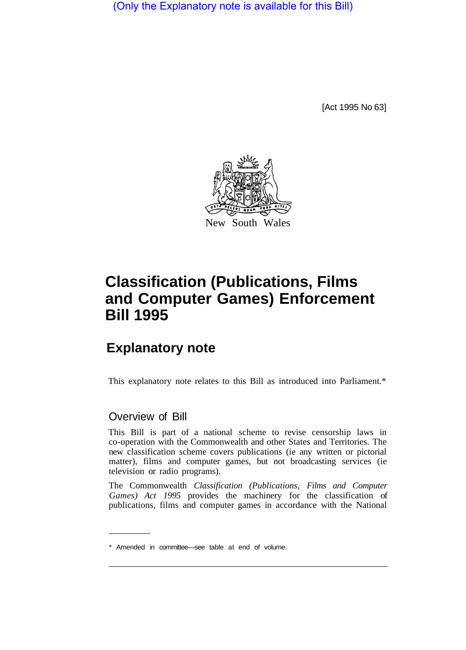(Only the Explanatory note is available for this Bill)

[Act 1995 No 63]



# **Classification (Publications, Films and Computer Games) Enforcement Bill 1995**

## **Explanatory note**

This explanatory note relates to this Bill as introduced into Parliament.\*

## Overview of Bill

This Bill is part of a national scheme to revise censorship laws in co-operation with the Commonwealth and other States and Territories. The new classification scheme covers publications (ie any written or pictorial matter), films and computer games, but not broadcasting services (ie television or radio programs).

The Commonwealth *Classification (Publications, Films and Computer Games) Act 1995* provides the machinery for the classification of publications, films and computer games in accordance with the National

<sup>\*</sup> Amended in committee—see table at end of volume.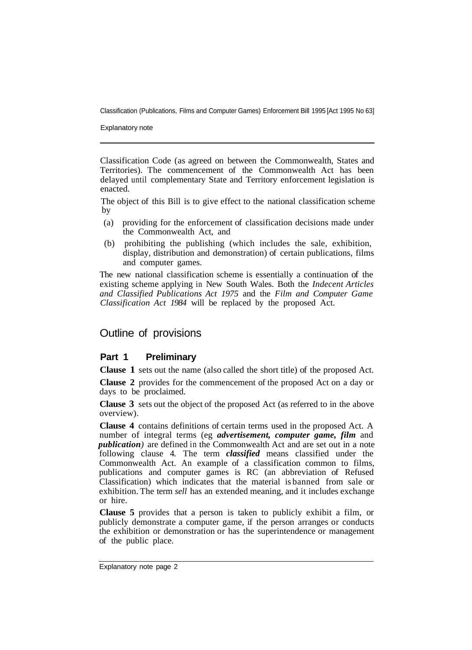Explanatory note

Classification Code (as agreed on between the Commonwealth, States and Territories). The commencement of the Commonwealth Act has been delayed until complementary State and Territory enforcement legislation is enacted.

The object of this Bill is to give effect to the national classification scheme by

- (a) providing for the enforcement of classification decisions made under the Commonwealth Act, and
- (b) prohibiting the publishing (which includes the sale, exhibition, display, distribution and demonstration) of certain publications, films and computer games.

The new national classification scheme is essentially a continuation of the existing scheme applying in New South Wales. Both the *Indecent Articles and Classified Publications Act 1975* and the *Film and Computer Game Classification Act 1984* will be replaced by the proposed Act.

### Outline of provisions

#### **Part 1 Preliminary**

**Clause 1** sets out the name (also called the short title) of the proposed Act.

**Clause 2** provides for the commencement of the proposed Act on a day or days to be proclaimed.

**Clause 3** sets out the object of the proposed Act (as referred to in the above overview).

**Clause 4** contains definitions of certain terms used in the proposed Act. A number of integral terms (eg *advertisement, computer game, film* and *publication)* are defined in the Commonwealth Act and are set out in a note following clause 4. The term *classified* means classified under the Commonwealth Act. An example of a classification common to films, publications and computer games is RC (an abbreviation of Refused Classification) which indicates that the material is banned from sale or exhibition. The term *sell* has an extended meaning, and it includes exchange or hire.

**Clause 5** provides that a person is taken to publicly exhibit a film, or publicly demonstrate a computer game, if the person arranges or conducts the exhibition or demonstration or has the superintendence or management of the public place.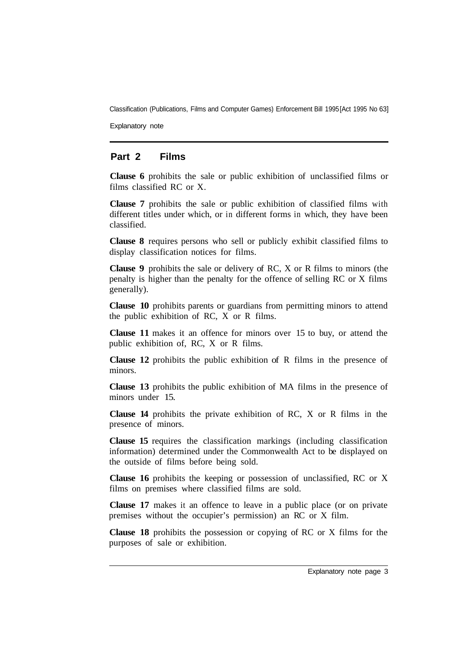Explanatory note

#### **Part 2 Films**

**Clause 6** prohibits the sale or public exhibition of unclassified films or films classified RC or X.

**Clause 7** prohibits the sale or public exhibition of classified films with different titles under which, or in different forms in which, they have been classified.

**Clause 8** requires persons who sell or publicly exhibit classified films to display classification notices for films.

**Clause 9** prohibits the sale or delivery of RC, X or R films to minors (the penalty is higher than the penalty for the offence of selling RC or X films generally).

**Clause 10** prohibits parents or guardians from permitting minors to attend the public exhibition of RC, X or R films.

**Clause 11** makes it an offence for minors over 15 to buy, or attend the public exhibition of, RC, X or R films.

**Clause 12** prohibits the public exhibition of R films in the presence of minors.

**Clause 13** prohibits the public exhibition of MA films in the presence of minors under 15.

**Clause 14** prohibits the private exhibition of RC, X or R films in the presence of minors.

**Clause 15** requires the classification markings (including classification information) determined under the Commonwealth Act to be displayed on the outside of films before being sold.

**Clause 16** prohibits the keeping or possession of unclassified, RC or X films on premises where classified films are sold.

**Clause 17** makes it an offence to leave in a public place (or on private premises without the occupier's permission) an RC or X film.

**Clause 18** prohibits the possession or copying of RC or X films for the purposes of sale or exhibition.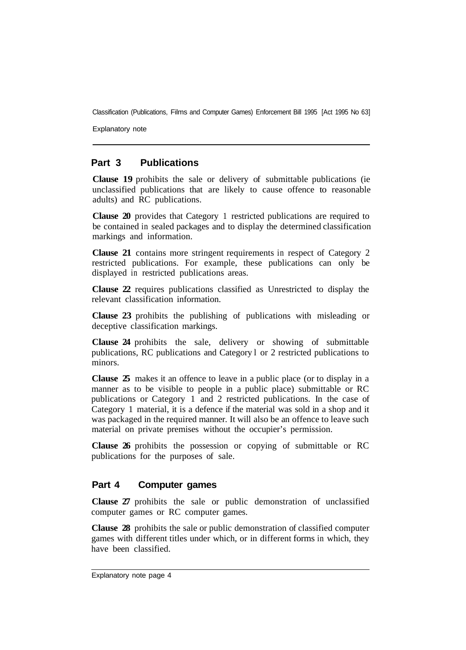Explanatory note

#### **Part 3 Publications**

**Clause 19** prohibits the sale or delivery of submittable publications (ie unclassified publications that are likely to cause offence to reasonable adults) and RC publications.

**Clause 20** provides that Category 1 restricted publications are required to be contained in sealed packages and to display the determined classification markings and information.

**Clause 21** contains more stringent requirements in respect of Category 2 restricted publications. For example, these publications can only be displayed in restricted publications areas.

**Clause 22** requires publications classified as Unrestricted to display the relevant classification information.

**Clause 23** prohibits the publishing of publications with misleading or deceptive classification markings.

**Clause 24** prohibits the sale, delivery or showing of submittable publications, RC publications and Category l or 2 restricted publications to minors.

**Clause 25** makes it an offence to leave in a public place (or to display in a manner as to be visible to people in a public place) submittable or RC publications or Category 1 and 2 restricted publications. In the case of Category 1 material, it is a defence if the material was sold in a shop and it was packaged in the required manner. It will also be an offence to leave such material on private premises without the occupier's permission.

**Clause 26** prohibits the possession or copying of submittable or RC publications for the purposes of sale.

#### **Part 4 Computer games**

**Clause 27** prohibits the sale or public demonstration of unclassified computer games or RC computer games.

**Clause 28** prohibits the sale or public demonstration of classified computer games with different titles under which, or in different forms in which, they have been classified.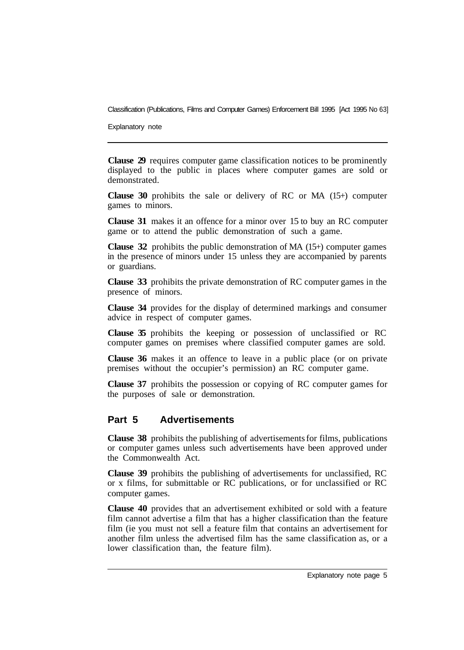Explanatory note

**Clause 29** requires computer game classification notices to be prominently displayed to the public in places where computer games are sold or demonstrated.

**Clause 30** prohibits the sale or delivery of RC or MA (15+) computer games to minors.

**Clause 31** makes it an offence for a minor over 15 to buy an RC computer game or to attend the public demonstration of such a game.

**Clause 32** prohibits the public demonstration of MA (15+) computer games in the presence of minors under 15 unless they are accompanied by parents or guardians.

**Clause 33** prohibits the private demonstration of RC computer games in the presence of minors.

**Clause 34** provides for the display of determined markings and consumer advice in respect of computer games.

**Clause 35** prohibits the keeping or possession of unclassified or RC computer games on premises where classified computer games are sold.

**Clause 36** makes it an offence to leave in a public place (or on private premises without the occupier's permission) an RC computer game.

**Clause 37** prohibits the possession or copying of RC computer games for the purposes of sale or demonstration.

#### **Part 5 Advertisements**

**Clause 38** prohibits the publishing of advertisements for films, publications or computer games unless such advertisements have been approved under the Commonwealth Act.

**Clause 39** prohibits the publishing of advertisements for unclassified, RC or x films, for submittable or RC publications, or for unclassified or RC computer games.

**Clause 40** provides that an advertisement exhibited or sold with a feature film cannot advertise a film that has a higher classification than the feature film (ie you must not sell a feature film that contains an advertisement for another film unless the advertised film has the same classification as, or a lower classification than, the feature film).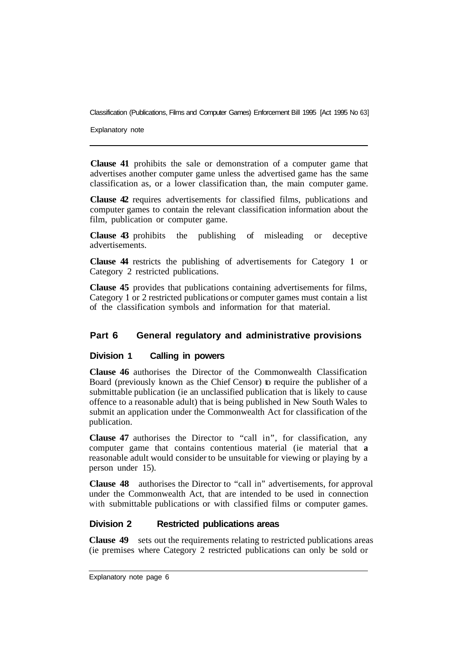Explanatory note

**Clause 41** prohibits the sale or demonstration of a computer game that advertises another computer game unless the advertised game has the same classification as, or a lower classification than, the main computer game.

**Clause 42** requires advertisements for classified films, publications and computer games to contain the relevant classification information about the film, publication or computer game.

**Clause 43** prohibits the publishing of misleading or deceptive advertisements.

**Clause 44** restricts the publishing of advertisements for Category **1** or Category 2 restricted publications.

**Clause 45** provides that publications containing advertisements for films, Category **1** or 2 restricted publications or computer games must contain a list of the classification symbols and information for that material.

#### **Part 6 General regulatory and administrative provisions**

#### **Division 1 Calling in powers**

**Clause 46** authorises the Director of the Commonwealth Classification Board (previously known as the Chief Censor) to require the publisher of a submittable publication (ie an unclassified publication that is likely to cause offence to a reasonable adult) that is being published in New South Wales to submit an application under the Commonwealth Act for classification of the publication.

**Clause 47** authorises the Director to "call in", for classification, any computer game that contains contentious material (ie material that **a**  reasonable adult would consider to be unsuitable for viewing or playing by a person under 15).

**Clause 48** authorises the Director to "call in" advertisements, for approval under the Commonwealth Act, that are intended to be used in connection with submittable publications or with classified films or computer games.

#### **Division 2 Restricted publications areas**

**Clause 49** sets out the requirements relating to restricted publications areas (ie premises where Category 2 restricted publications can only be sold or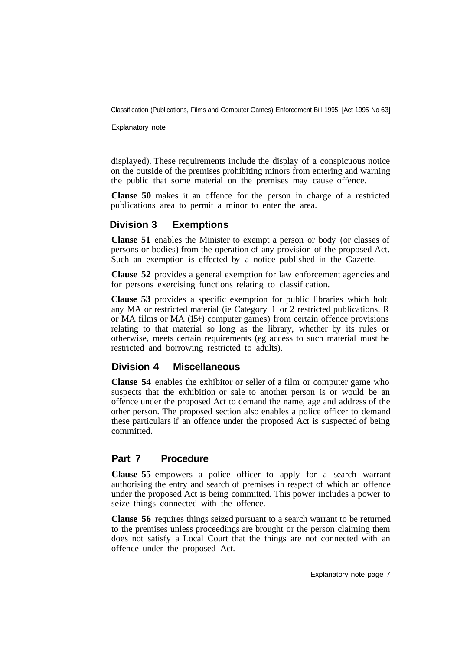Explanatory note

displayed). These requirements include the display of a conspicuous notice on the outside of the premises prohibiting minors from entering and warning the public that some material on the premises may cause offence.

**Clause 50** makes it an offence for the person in charge of a restricted publications area to permit a minor to enter the area.

#### **Division 3 Exemptions**

**Clause 51** enables the Minister to exempt a person or body (or classes of persons or bodies) from the operation of any provision of the proposed Act. Such an exemption is effected by a notice published in the Gazette.

**Clause 52** provides a general exemption for law enforcement agencies and for persons exercising functions relating to classification.

**Clause 53** provides a specific exemption for public libraries which hold any MA or restricted material (ie Category 1 or 2 restricted publications, R or MA films or MA (15+) computer games) from certain offence provisions relating to that material so long as the library, whether by its rules or otherwise, meets certain requirements (eg access to such material must be restricted and borrowing restricted to adults).

#### **Division 4 Miscellaneous**

**Clause 54** enables the exhibitor or seller of a film or computer game who suspects that the exhibition or sale to another person is or would be an offence under the proposed Act to demand the name, age and address of the other person. The proposed section also enables a police officer to demand these particulars if an offence under the proposed Act is suspected of being committed.

#### **Part 7 Procedure**

**Clause 55** empowers a police officer to apply for a search warrant authorising the entry and search of premises in respect of which an offence under the proposed Act is being committed. This power includes a power to seize things connected with the offence.

**Clause 56** requires things seized pursuant to a search warrant to be returned to the premises unless proceedings are brought or the person claiming them does not satisfy a Local Court that the things are not connected with an offence under the proposed Act.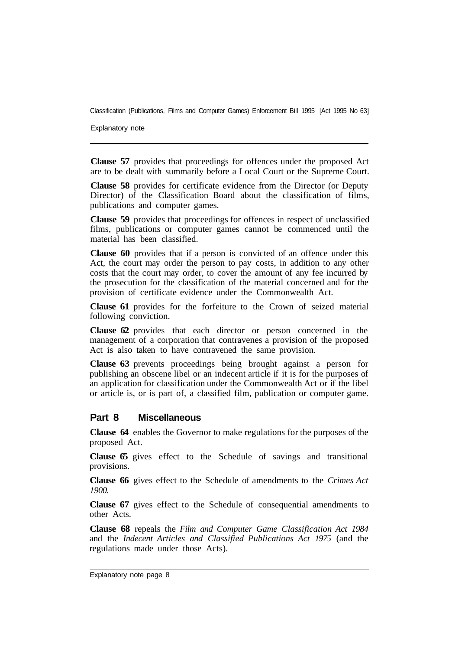Explanatory note

**Clause 57** provides that proceedings for offences under the proposed Act are to be dealt with summarily before a Local Court or the Supreme Court.

**Clause 58** provides for certificate evidence from the Director (or Deputy Director) of the Classification Board about the classification of films, publications and computer games.

**Clause 59** provides that proceedings for offences in respect of unclassified films, publications or computer games cannot be commenced until the material has been classified.

**Clause 60** provides that if a person is convicted of an offence under this Act, the court may order the person to pay costs, in addition to any other costs that the court may order, to cover the amount of any fee incurred by the prosecution for the classification of the material concerned and for the provision of certificate evidence under the Commonwealth Act.

**Clause 61** provides for the forfeiture to the Crown of seized material following conviction.

**Clause 62** provides that each director or person concerned in the management of a corporation that contravenes a provision of the proposed Act is also taken to have contravened the same provision.

**Clause 63** prevents proceedings being brought against a person for publishing an obscene libel or an indecent article if it is for the purposes of an application for classification under the Commonwealth Act or if the libel or article is, or is part of, a classified film, publication or computer game.

#### **Part 8 Miscellaneous**

**Clause 64** enables the Governor to make regulations for the purposes of the proposed Act.

**Clause 65** gives effect to the Schedule of savings and transitional provisions.

**Clause 66** gives effect to the Schedule of amendments to the *Crimes Act 1900.* 

**Clause 67** gives effect to the Schedule of consequential amendments to other Acts.

**Clause 68** repeals the *Film and Computer Game Classification Act 1984*  and the *Indecent Articles and Classified Publications Act 1975* (and the regulations made under those Acts).

Explanatory note page 8